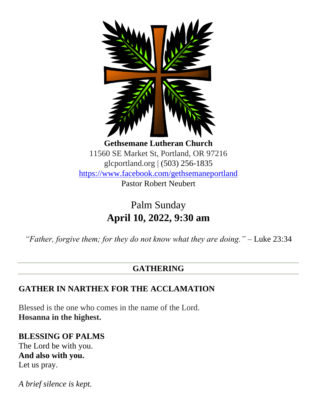

**Gethsemane Lutheran Church** 11560 SE Market St, Portland, OR 97216 glcportland.org | (503) 256-1835 <https://www.facebook.com/gethsemaneportland> Pastor Robert Neubert

> Palm Sunday **April 10, 2022, 9:30 am**

*"Father, forgive them; for they do not know what they are doing."* – Luke 23:34

## **GATHERING**

## **GATHER IN NARTHEX FOR THE ACCLAMATION**

Blessed is the one who comes in the name of the Lord. **Hosanna in the highest.**

**BLESSING OF PALMS** The Lord be with you. **And also with you.** Let us pray.

*A brief silence is kept.*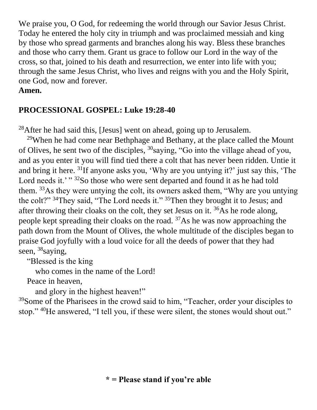We praise you, O God, for redeeming the world through our Savior Jesus Christ. Today he entered the holy city in triumph and was proclaimed messiah and king by those who spread garments and branches along his way. Bless these branches and those who carry them. Grant us grace to follow our Lord in the way of the cross, so that, joined to his death and resurrection, we enter into life with you; through the same Jesus Christ, who lives and reigns with you and the Holy Spirit, one God, now and forever. **Amen.**

### **PROCESSIONAL GOSPEL: Luke 19:28-40**

 $^{28}$ After he had said this, [Jesus] went on ahead, going up to Jerusalem.

<sup>29</sup>When he had come near Bethphage and Bethany, at the place called the Mount of Olives, he sent two of the disciples, <sup>30</sup>saying, "Go into the village ahead of you, and as you enter it you will find tied there a colt that has never been ridden. Untie it and bring it here. <sup>31</sup>If anyone asks you, 'Why are you untying it?' just say this, 'The Lord needs it.'" <sup>32</sup>So those who were sent departed and found it as he had told them. <sup>33</sup>As they were untying the colt, its owners asked them, "Why are you untying the colt?"<sup>34</sup>They said, "The Lord needs it."<sup>35</sup>Then they brought it to Jesus; and after throwing their cloaks on the colt, they set Jesus on it.  $36\text{As}$  he rode along, people kept spreading their cloaks on the road. <sup>37</sup>As he was now approaching the path down from the Mount of Olives, the whole multitude of the disciples began to praise God joyfully with a loud voice for all the deeds of power that they had seen, <sup>38</sup>saying,

"Blessed is the king

who comes in the name of the Lord!

Peace in heaven,

and glory in the highest heaven!"

<sup>39</sup>Some of the Pharisees in the crowd said to him, "Teacher, order your disciples to stop." <sup>40</sup>He answered, "I tell you, if these were silent, the stones would shout out."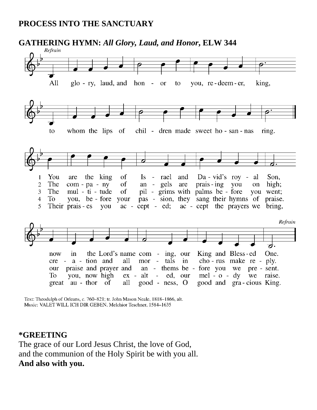### **PROCESS INTO THE SANCTUARY**



Text: Theodulph of Orleans, c. 760-821; tr. John Mason Neale, 1818-1866, alt. Music: VALET WILL ICH DIR GEBEN, Melchior Teschner, 1584-1635

#### **\*GREETING**

The grace of our Lord Jesus Christ, the love of God, and the communion of the Holy Spirit be with you all. **And also with you.**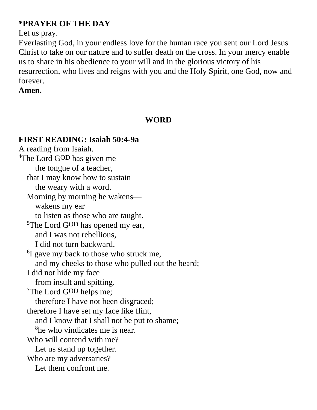### **\*PRAYER OF THE DAY**

Let us pray.

Everlasting God, in your endless love for the human race you sent our Lord Jesus Christ to take on our nature and to suffer death on the cross. In your mercy enable us to share in his obedience to your will and in the glorious victory of his resurrection, who lives and reigns with you and the Holy Spirit, one God, now and forever.

#### **Amen.**

**WORD FIRST READING: Isaiah 50:4-9a** A reading from Isaiah. <sup>4</sup>The Lord G<sup>OD</sup> has given me the tongue of a teacher, that I may know how to sustain the weary with a word. Morning by morning he wakens wakens my ear to listen as those who are taught. <sup>5</sup>The Lord G<sup>OD</sup> has opened my ear, and I was not rebellious, I did not turn backward. <sup>6</sup>I gave my back to those who struck me, and my cheeks to those who pulled out the beard; I did not hide my face from insult and spitting. <sup>7</sup>The Lord GOD helps me; therefore I have not been disgraced; therefore I have set my face like flint, and I know that I shall not be put to shame; <sup>8</sup>he who vindicates me is near. Who will contend with me? Let us stand up together. Who are my adversaries? Let them confront me.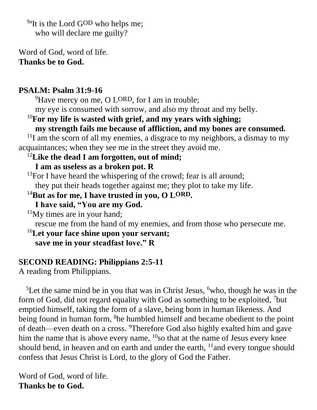<sup>9a</sup>It is the Lord GOD who helps me; who will declare me guilty?

Word of God, word of life. **Thanks be to God.**

#### **PSALM: Psalm 31:9-16**

<sup>9</sup>Have mercy on me, O LORD, for I am in trouble;

my eye is consumed with sorrow, and also my throat and my belly.

# <sup>10</sup>**For my life is wasted with grief, and my years with sighing;**

**my strength fails me because of affliction, and my bones are consumed.**

 $11$ I am the scorn of all my enemies, a disgrace to my neighbors, a dismay to my acquaintances; when they see me in the street they avoid me.

## <sup>12</sup>**Like the dead I am forgotten, out of mind;**

### **I am as useless as a broken pot. R**

<sup>13</sup>For I have heard the whispering of the crowd; fear is all around; they put their heads together against me; they plot to take my life.

<sup>14</sup>**But as for me, I have trusted in you, O LORD.**

**I have said, "You are my God.**

 $15$ My times are in your hand;

rescue me from the hand of my enemies, and from those who persecute me.

#### <sup>16</sup>**Let your face shine upon your servant; save me in your steadfast love." R**

### **SECOND READING: Philippians 2:5-11**

A reading from Philippians.

<sup>5</sup>Let the same mind be in you that was in Christ Jesus,  $6$  who, though he was in the form of God, did not regard equality with God as something to be exploited, <sup>7</sup>but emptied himself, taking the form of a slave, being born in human likeness. And being found in human form, <sup>8</sup>he humbled himself and became obedient to the point of death—even death on a cross. <sup>9</sup>Therefore God also highly exalted him and gave him the name that is above every name,  $^{10}$ so that at the name of Jesus every knee should bend, in heaven and on earth and under the earth,  $11$  and every tongue should confess that Jesus Christ is Lord, to the glory of God the Father.

Word of God, word of life. **Thanks be to God.**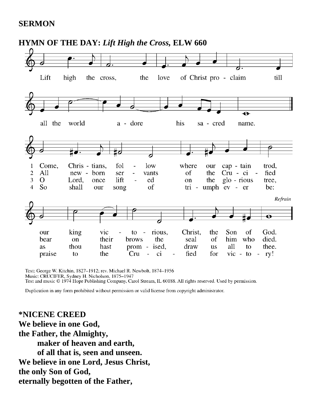#### **SERMON**



Text: George W. Kitchin, 1827-1912; rev. Michael R. Newbolt, 1874-1956 Music: CRUCIFER, Sydney H. Nicholson, 1875–1947<br>Text and music © 1974 Hope Publishing Company, Carol Stream, IL 60188. All rights reserved. Used by permission.

Duplication in any form prohibited without permission or valid license from copyright administrator.

**\*NICENE CREED We believe in one God, the Father, the Almighty, maker of heaven and earth, of all that is, seen and unseen. We believe in one Lord, Jesus Christ, the only Son of God, eternally begotten of the Father,**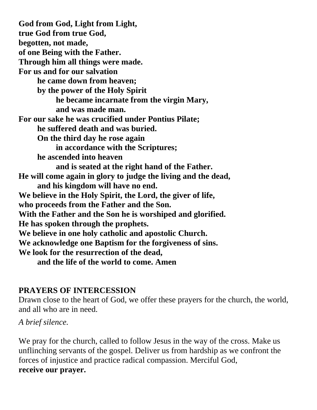**God from God, Light from Light, true God from true God, begotten, not made, of one Being with the Father. Through him all things were made. For us and for our salvation he came down from heaven; by the power of the Holy Spirit he became incarnate from the virgin Mary, and was made man. For our sake he was crucified under Pontius Pilate; he suffered death and was buried. On the third day he rose again in accordance with the Scriptures; he ascended into heaven and is seated at the right hand of the Father. He will come again in glory to judge the living and the dead, and his kingdom will have no end. We believe in the Holy Spirit, the Lord, the giver of life, who proceeds from the Father and the Son. With the Father and the Son he is worshiped and glorified. He has spoken through the prophets. We believe in one holy catholic and apostolic Church. We acknowledge one Baptism for the forgiveness of sins. We look for the resurrection of the dead, and the life of the world to come. Amen**

#### **PRAYERS OF INTERCESSION**

Drawn close to the heart of God, we offer these prayers for the church, the world, and all who are in need.

*A brief silence.*

We pray for the church, called to follow Jesus in the way of the cross. Make us unflinching servants of the gospel. Deliver us from hardship as we confront the forces of injustice and practice radical compassion. Merciful God, **receive our prayer.**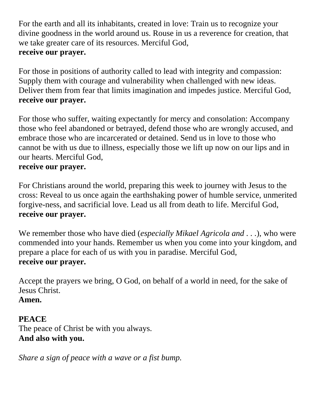For the earth and all its inhabitants, created in love: Train us to recognize your divine goodness in the world around us. Rouse in us a reverence for creation, that we take greater care of its resources. Merciful God, **receive our prayer.**

For those in positions of authority called to lead with integrity and compassion: Supply them with courage and vulnerability when challenged with new ideas. Deliver them from fear that limits imagination and impedes justice. Merciful God, **receive our prayer.**

For those who suffer, waiting expectantly for mercy and consolation: Accompany those who feel abandoned or betrayed, defend those who are wrongly accused, and embrace those who are incarcerated or detained. Send us in love to those who cannot be with us due to illness, especially those we lift up now on our lips and in our hearts. Merciful God,

#### **receive our prayer.**

For Christians around the world, preparing this week to journey with Jesus to the cross: Reveal to us once again the earthshaking power of humble service, unmerited forgive-ness, and sacrificial love. Lead us all from death to life. Merciful God, **receive our prayer.**

We remember those who have died (*especially Mikael Agricola and . . .*), who were commended into your hands. Remember us when you come into your kingdom, and prepare a place for each of us with you in paradise. Merciful God, **receive our prayer.**

Accept the prayers we bring, O God, on behalf of a world in need, for the sake of Jesus Christ.

### **Amen.**

## **PEACE**

The peace of Christ be with you always. **And also with you.**

*Share a sign of peace with a wave or a fist bump.*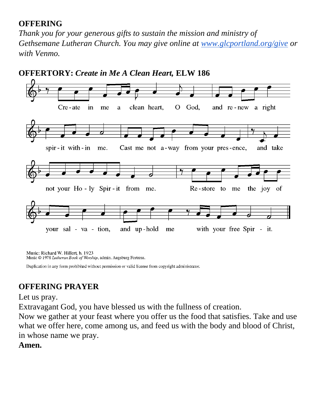### **OFFERING**

*Thank you for your generous gifts to sustain the mission and ministry of Gethsemane Lutheran Church. You may give online at [www.glcportland.org/give](http://www.glcportland.org/give) or with Venmo.* 



Music: Richard W. Hillert, b. 1923

Music © 1978 Lutheran Book of Worship, admin. Augsburg Fortress.

Duplication in any form prohibited without permission or valid license from copyright administrator.

## **OFFERING PRAYER**

Let us pray.

Extravagant God, you have blessed us with the fullness of creation.

Now we gather at your feast where you offer us the food that satisfies. Take and use what we offer here, come among us, and feed us with the body and blood of Christ, in whose name we pray.

### **Amen.**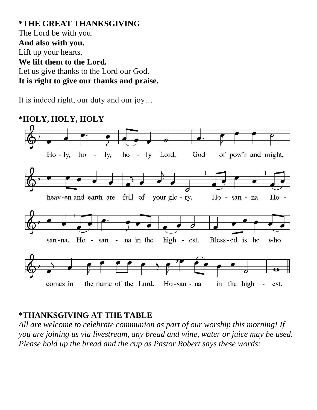**\*THE GREAT THANKSGIVING** The Lord be with you. **And also with you.** Lift up your hearts. **We lift them to the Lord.** Let us give thanks to the Lord our God. **It is right to give our thanks and praise.**

It is indeed right, our duty and our joy…



## **\*THANKSGIVING AT THE TABLE**

*All are welcome to celebrate communion as part of our worship this morning! If you are joining us via livestream, any bread and wine, water or juice may be used. Please hold up the bread and the cup as Pastor Robert says these words:*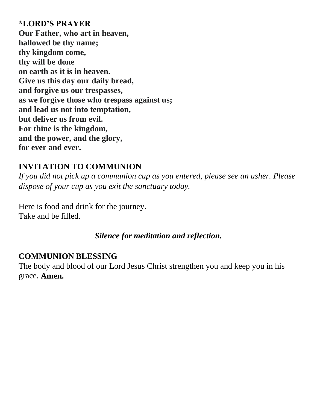#### **\*LORD'S PRAYER**

**Our Father, who art in heaven, hallowed be thy name; thy kingdom come, thy will be done on earth as it is in heaven. Give us this day our daily bread, and forgive us our trespasses, as we forgive those who trespass against us; and lead us not into temptation, but deliver us from evil. For thine is the kingdom, and the power, and the glory, for ever and ever.**

### **INVITATION TO COMMUNION**

*If you did not pick up a communion cup as you entered, please see an usher. Please dispose of your cup as you exit the sanctuary today.* 

Here is food and drink for the journey. Take and be filled.

*Silence for meditation and reflection.*

#### **COMMUNION BLESSING**

The body and blood of our Lord Jesus Christ strengthen you and keep you in his grace. **Amen.**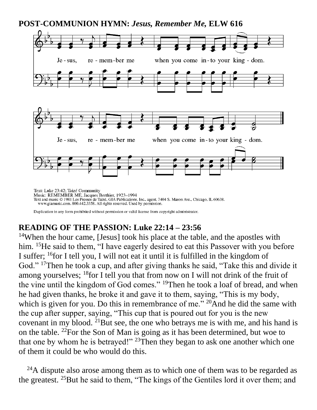

## **POST-COMMUNION HYMN:** *Jesus, Remember Me,* **ELW 616**

Fax: EXEMENTER ME, Jacques Berthier, 1923–1994<br>Text and music © 1981 Les Presses de Taizé, GIA Publications, Inc., agent. 7404 S. Mason Ave., Chicago, IL 60638.<br>www.giamusic.com. 800.442.3358. All rights reserved. Used by

Duplication in any form prohibited without permission or valid license from copyright administrator.

### **READING OF THE PASSION: Luke 22:14 – 23:56**

<sup>14</sup>When the hour came, [Jesus] took his place at the table, and the apostles with him. <sup>15</sup>He said to them, "I have eagerly desired to eat this Passover with you before I suffer; <sup>16</sup>for I tell you, I will not eat it until it is fulfilled in the kingdom of God." <sup>17</sup>Then he took a cup, and after giving thanks he said, "Take this and divide it among yourselves;  $^{18}$  for I tell you that from now on I will not drink of the fruit of the vine until the kingdom of God comes." <sup>19</sup>Then he took a loaf of bread, and when he had given thanks, he broke it and gave it to them, saying, "This is my body, which is given for you. Do this in remembrance of me."  $^{20}$ And he did the same with the cup after supper, saying, "This cup that is poured out for you is the new covenant in my blood. <sup>21</sup>But see, the one who betrays me is with me, and his hand is on the table. <sup>22</sup>For the Son of Man is going as it has been determined, but woe to that one by whom he is betrayed!"  $23$ Then they began to ask one another which one of them it could be who would do this.

 $^{24}$ A dispute also arose among them as to which one of them was to be regarded as the greatest. <sup>25</sup>But he said to them, "The kings of the Gentiles lord it over them; and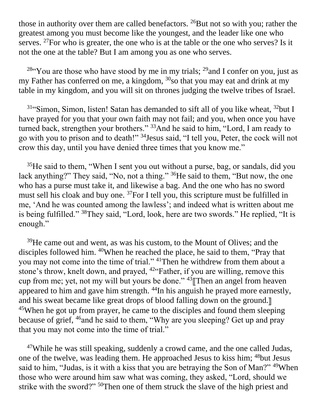those in authority over them are called benefactors.  $^{26}$ But not so with you; rather the greatest among you must become like the youngest, and the leader like one who serves. <sup>27</sup>For who is greater, the one who is at the table or the one who serves? Is it not the one at the table? But I am among you as one who serves.

<sup>28"</sup>You are those who have stood by me in my trials; <sup>29</sup> and I confer on you, just as my Father has conferred on me, a kingdom, <sup>30</sup>so that you may eat and drink at my table in my kingdom, and you will sit on thrones judging the twelve tribes of Israel.

 $31$ "Simon, Simon, listen! Satan has demanded to sift all of you like wheat,  $32$ but I have prayed for you that your own faith may not fail; and you, when once you have turned back, strengthen your brothers." <sup>33</sup>And he said to him, "Lord, I am ready to go with you to prison and to death!" <sup>34</sup>Jesus said, "I tell you, Peter, the cock will not crow this day, until you have denied three times that you know me."

 $35$  He said to them, "When I sent you out without a purse, bag, or sandals, did you lack anything?" They said, "No, not a thing." <sup>36</sup>He said to them, "But now, the one who has a purse must take it, and likewise a bag. And the one who has no sword must sell his cloak and buy one. <sup>37</sup>For I tell you, this scripture must be fulfilled in me, 'And he was counted among the lawless'; and indeed what is written about me is being fulfilled." <sup>38</sup>They said, "Lord, look, here are two swords." He replied, "It is enough."

<sup>39</sup>He came out and went, as was his custom, to the Mount of Olives; and the disciples followed him. <sup>40</sup>When he reached the place, he said to them, "Pray that you may not come into the time of trial." <sup>41</sup>Then he withdrew from them about a stone's throw, knelt down, and prayed, <sup>42</sup>"Father, if you are willing, remove this cup from me; yet, not my will but yours be done."  $43$  Then an angel from heaven appeared to him and gave him strength. <sup>44</sup>In his anguish he prayed more earnestly, and his sweat became like great drops of blood falling down on the ground. <sup>45</sup>When he got up from prayer, he came to the disciples and found them sleeping because of grief, <sup>46</sup>and he said to them, "Why are you sleeping? Get up and pray that you may not come into the time of trial."

<sup>47</sup>While he was still speaking, suddenly a crowd came, and the one called Judas, one of the twelve, was leading them. He approached Jesus to kiss him; <sup>48</sup>but Jesus said to him, "Judas, is it with a kiss that you are betraying the Son of Man?" <sup>49</sup>When those who were around him saw what was coming, they asked, "Lord, should we strike with the sword?" <sup>50</sup>Then one of them struck the slave of the high priest and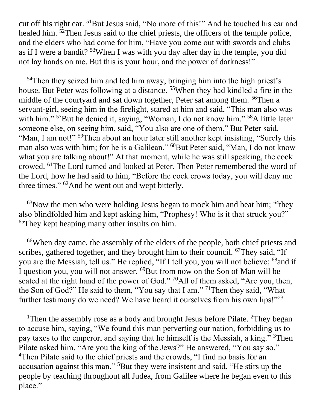cut off his right ear. <sup>51</sup>But Jesus said, "No more of this!" And he touched his ear and healed him. <sup>52</sup>Then Jesus said to the chief priests, the officers of the temple police, and the elders who had come for him, "Have you come out with swords and clubs as if I were a bandit? <sup>53</sup>When I was with you day after day in the temple, you did not lay hands on me. But this is your hour, and the power of darkness!"

<sup>54</sup>Then they seized him and led him away, bringing him into the high priest's house. But Peter was following at a distance. <sup>55</sup>When they had kindled a fire in the middle of the courtyard and sat down together, Peter sat among them. <sup>56</sup>Then a servant-girl, seeing him in the firelight, stared at him and said, "This man also was with him." <sup>57</sup>But he denied it, saying, "Woman, I do not know him." <sup>58</sup>A little later someone else, on seeing him, said, "You also are one of them." But Peter said, "Man, I am not!"<sup>59</sup>Then about an hour later still another kept insisting, "Surely this man also was with him; for he is a Galilean." <sup>60</sup>But Peter said, "Man, I do not know what you are talking about!" At that moment, while he was still speaking, the cock crowed. <sup>61</sup>The Lord turned and looked at Peter. Then Peter remembered the word of the Lord, how he had said to him, "Before the cock crows today, you will deny me three times." <sup>62</sup>And he went out and wept bitterly.

 $63$ Now the men who were holding Jesus began to mock him and beat him;  $64$ they also blindfolded him and kept asking him, "Prophesy! Who is it that struck you?" <sup>65</sup>They kept heaping many other insults on him.

<sup>66</sup>When day came, the assembly of the elders of the people, both chief priests and scribes, gathered together, and they brought him to their council. <sup>67</sup>They said, "If you are the Messiah, tell us." He replied, "If I tell you, you will not believe; <sup>68</sup>and if I question you, you will not answer. <sup>69</sup>But from now on the Son of Man will be seated at the right hand of the power of God." <sup>70</sup>All of them asked, "Are you, then, the Son of God?" He said to them, "You say that I am." <sup>71</sup>Then they said, "What further testimony do we need? We have heard it ourselves from his own lips!"<sup>23:</sup>

<sup>1</sup>Then the assembly rose as a body and brought Jesus before Pilate. <sup>2</sup>They began to accuse him, saying, "We found this man perverting our nation, forbidding us to pay taxes to the emperor, and saying that he himself is the Messiah, a king."<sup>3</sup>Then Pilate asked him, "Are you the king of the Jews?" He answered, "You say so." <sup>4</sup>Then Pilate said to the chief priests and the crowds, "I find no basis for an accusation against this man." <sup>5</sup>But they were insistent and said, "He stirs up the people by teaching throughout all Judea, from Galilee where he began even to this place."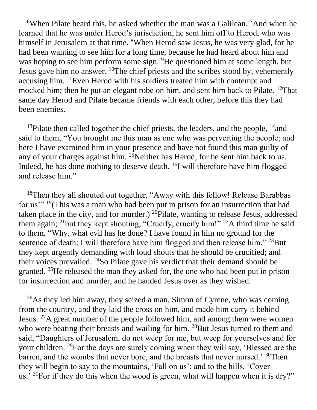<sup>6</sup>When Pilate heard this, he asked whether the man was a Galilean. <sup>7</sup>And when he learned that he was under Herod's jurisdiction, he sent him off to Herod, who was himself in Jerusalem at that time. <sup>8</sup>When Herod saw Jesus, he was very glad, for he had been wanting to see him for a long time, because he had heard about him and was hoping to see him perform some sign. <sup>9</sup>He questioned him at some length, but Jesus gave him no answer.  $^{10}$ The chief priests and the scribes stood by, vehemently accusing him. <sup>11</sup>Even Herod with his soldiers treated him with contempt and mocked him; then he put an elegant robe on him, and sent him back to Pilate. <sup>12</sup>That same day Herod and Pilate became friends with each other; before this they had been enemies.

<sup>13</sup>Pilate then called together the chief priests, the leaders, and the people,  $^{14}$ and said to them, "You brought me this man as one who was perverting the people; and here I have examined him in your presence and have not found this man guilty of any of your charges against him. <sup>15</sup>Neither has Herod, for he sent him back to us. Indeed, he has done nothing to deserve death. <sup>16</sup>I will therefore have him flogged and release him."

<sup>18</sup>Then they all shouted out together, "Away with this fellow! Release Barabbas" for us!" <sup>19</sup>(This was a man who had been put in prison for an insurrection that had taken place in the city, and for murder.)  $^{20}$ Pilate, wanting to release Jesus, addressed them again; <sup>21</sup>but they kept shouting, "Crucify, crucify him!" <sup>22</sup>A third time he said to them, "Why, what evil has he done? I have found in him no ground for the sentence of death; I will therefore have him flogged and then release him." <sup>23</sup>But they kept urgently demanding with loud shouts that he should be crucified; and their voices prevailed. <sup>24</sup>So Pilate gave his verdict that their demand should be granted. <sup>25</sup>He released the man they asked for, the one who had been put in prison for insurrection and murder, and he handed Jesus over as they wished.

 $^{26}$ As they led him away, they seized a man, Simon of Cyrene, who was coming from the country, and they laid the cross on him, and made him carry it behind Jesus. <sup>27</sup>A great number of the people followed him, and among them were women who were beating their breasts and wailing for him. <sup>28</sup>But Jesus turned to them and said, "Daughters of Jerusalem, do not weep for me, but weep for yourselves and for your children. <sup>29</sup>For the days are surely coming when they will say, 'Blessed are the barren, and the wombs that never bore, and the breasts that never nursed.' <sup>30</sup>Then they will begin to say to the mountains, 'Fall on us'; and to the hills, 'Cover us.' <sup>31</sup>For if they do this when the wood is green, what will happen when it is dry?"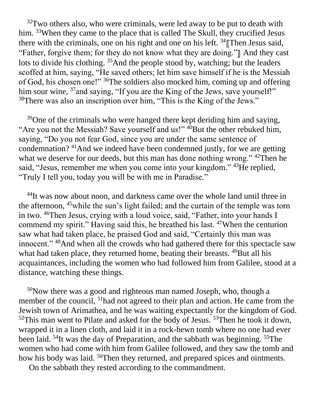$32$ Two others also, who were criminals, were led away to be put to death with him. <sup>33</sup>When they came to the place that is called The Skull, they crucified Jesus there with the criminals, one on his right and one on his left.  $34$  Then Jesus said, "Father, forgive them; for they do not know what they are doing."<sup>"</sup> And they cast lots to divide his clothing. <sup>35</sup>And the people stood by, watching; but the leaders scoffed at him, saying, "He saved others; let him save himself if he is the Messiah of God, his chosen one!" <sup>36</sup>The soldiers also mocked him, coming up and offering him sour wine, <sup>37</sup> and saying, "If you are the King of the Jews, save yourself!" <sup>38</sup>There was also an inscription over him, "This is the King of the Jews."

 $39$ One of the criminals who were hanged there kept deriding him and saying, "Are you not the Messiah? Save yourself and us!"  $40$ But the other rebuked him, saying, "Do you not fear God, since you are under the same sentence of condemnation? <sup>41</sup>And we indeed have been condemned justly, for we are getting what we deserve for our deeds, but this man has done nothing wrong." <sup>42</sup>Then he said, "Jesus, remember me when you come into your kingdom." <sup>43</sup>He replied, "Truly I tell you, today you will be with me in Paradise."

<sup>44</sup>It was now about noon, and darkness came over the whole land until three in the afternoon, <sup>45</sup>while the sun's light failed; and the curtain of the temple was torn in two. <sup>46</sup>Then Jesus, crying with a loud voice, said, "Father, into your hands I commend my spirit." Having said this, he breathed his last. <sup>47</sup>When the centurion saw what had taken place, he praised God and said, "Certainly this man was innocent." <sup>48</sup>And when all the crowds who had gathered there for this spectacle saw what had taken place, they returned home, beating their breasts.  $49$ But all his acquaintances, including the women who had followed him from Galilee, stood at a distance, watching these things.

 $50$ Now there was a good and righteous man named Joseph, who, though a member of the council, <sup>51</sup>had not agreed to their plan and action. He came from the Jewish town of Arimathea, and he was waiting expectantly for the kingdom of God.  $52$ This man went to Pilate and asked for the body of Jesus.  $53$ Then he took it down, wrapped it in a linen cloth, and laid it in a rock-hewn tomb where no one had ever been laid. <sup>54</sup>It was the day of Preparation, and the sabbath was beginning. <sup>55</sup>The women who had come with him from Galilee followed, and they saw the tomb and how his body was laid. <sup>56</sup>Then they returned, and prepared spices and ointments.

On the sabbath they rested according to the commandment.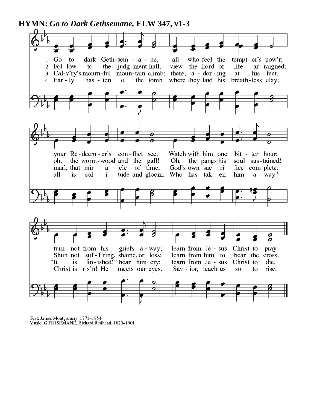**HYMN:** *Go to Dark Gethsemane,* **ELW 347, v1-3**



Text: James Montgomery, 1771-1854 Music: GETHSEMANE, Richard Redhead, 1820-1901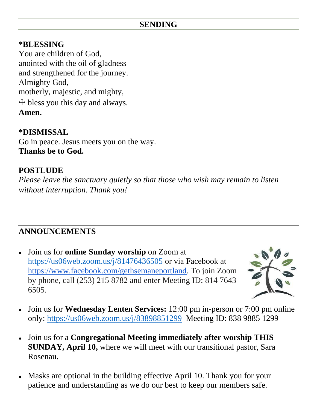### **SENDING**

#### **\*BLESSING**

You are children of God, anointed with the oil of gladness and strengthened for the journey. Almighty God, motherly, majestic, and mighty, ☩ bless you this day and always. **Amen.**

#### **\*DISMISSAL**

Go in peace. Jesus meets you on the way. **Thanks be to God.**

### **POSTLUDE**

*Please leave the sanctuary quietly so that those who wish may remain to listen without interruption. Thank you!*

## **ANNOUNCEMENTS**

● Join us for **online Sunday worship** on Zoom at <https://us06web.zoom.us/j/81476436505> or via Facebook at [https://www.facebook.com/gethsemaneportland.](https://www.facebook.com/gethsemaneportland) To join Zoom by phone, call (253) 215 8782 and enter Meeting ID: 814 7643 6505.



- Join us for **Wednesday Lenten Services:** 12:00 pm in-person or 7:00 pm online only:<https://us06web.zoom.us/j/83898851299>Meeting ID: 838 9885 1299
- Join us for a **Congregational Meeting immediately after worship THIS SUNDAY, April 10,** where we will meet with our transitional pastor, Sara Rosenau.
- Masks are optional in the building effective April 10. Thank you for your patience and understanding as we do our best to keep our members safe.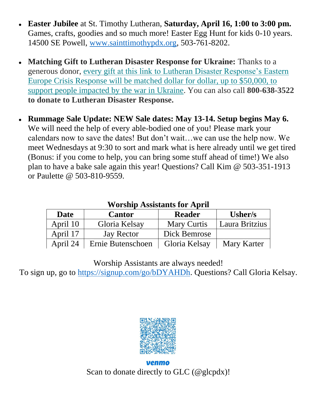- **Easter Jubilee** at St. Timothy Lutheran, **Saturday, April 16, 1:00 to 3:00 pm.** Games, crafts, goodies and so much more! Easter Egg Hunt for kids 0-10 years. 14500 SE Powell, [www.sainttimothypdx.org,](http://www.sainttimothypdx.org/) 503-761-8202.
- **Matching Gift to Lutheran Disaster Response for Ukraine:** Thanks to a generous donor, [every gift at this link to Lutheran Disaster Response's Eastern](https://community.elca.org/page.redir?target=https%3a%2f%2fcommunity.elca.org%2feastern-europe-crisis-response&srcid=298650&srctid=1&erid=ececa52d-e468-469d-9689-cc39ba1007f6&trid=ececa52d-e468-469d-9689-cc39ba1007f6)  [Europe Crisis Response will be matched dollar for dollar, up to \\$50,000, to](https://community.elca.org/page.redir?target=https%3a%2f%2fcommunity.elca.org%2feastern-europe-crisis-response&srcid=298650&srctid=1&erid=ececa52d-e468-469d-9689-cc39ba1007f6&trid=ececa52d-e468-469d-9689-cc39ba1007f6)  [support people impacted by the war in Ukraine.](https://community.elca.org/page.redir?target=https%3a%2f%2fcommunity.elca.org%2feastern-europe-crisis-response&srcid=298650&srctid=1&erid=ececa52d-e468-469d-9689-cc39ba1007f6&trid=ececa52d-e468-469d-9689-cc39ba1007f6) You can also call **800-638-3522 to donate to Lutheran Disaster Response.**
- **Rummage Sale Update: NEW Sale dates: May 13-14. Setup begins May 6.** We will need the help of every able-bodied one of you! Please mark your calendars now to save the dates! But don't wait…we can use the help now. We meet Wednesdays at 9:30 to sort and mark what is here already until we get tired (Bonus: if you come to help, you can bring some stuff ahead of time!) We also plan to have a bake sale again this year! Questions? Call Kim @ 503-351-1913 or Paulette @ 503-810-9559.

| WORSHIP ASSISTANTS TOP APPIL |                   |                    |                |
|------------------------------|-------------------|--------------------|----------------|
| <b>Date</b>                  | <b>Cantor</b>     | <b>Reader</b>      | Usher/s        |
| April 10                     | Gloria Kelsay     | <b>Mary Curtis</b> | Laura Britzius |
| April 17                     | Jay Rector        | Dick Bemrose       |                |
| April 24                     | Ernie Butenschoen | Gloria Kelsay      | Mary Karter    |

## **Worship Assistants for April**

Worship Assistants are always needed!

To sign up, go to [https://signup.com/go/bDYAHDh.](https://signup.com/go/bDYAHDh) Questions? Call Gloria Kelsay.



venmo Scan to donate directly to GLC (@glcpdx)!